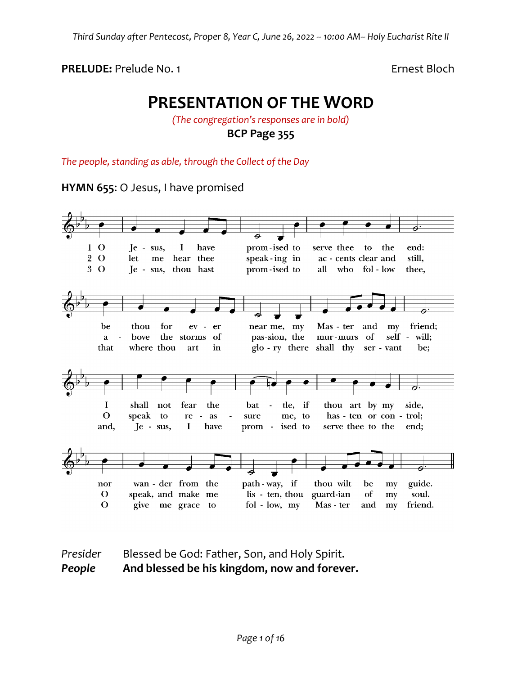**PRELUDE:** Prelude No. 1 Ernest Bloch

# **PRESENTATION OF THE WORD**

*(The congregation's responses are in bold)*

#### **BCP Page 355**

*The people, standing as able, through the Collect of the Day*

**HYMN 655**: O Jesus, I have promised



# *Presider* Blessed be God: Father, Son, and Holy Spirit. *People* **And blessed be his kingdom, now and forever.**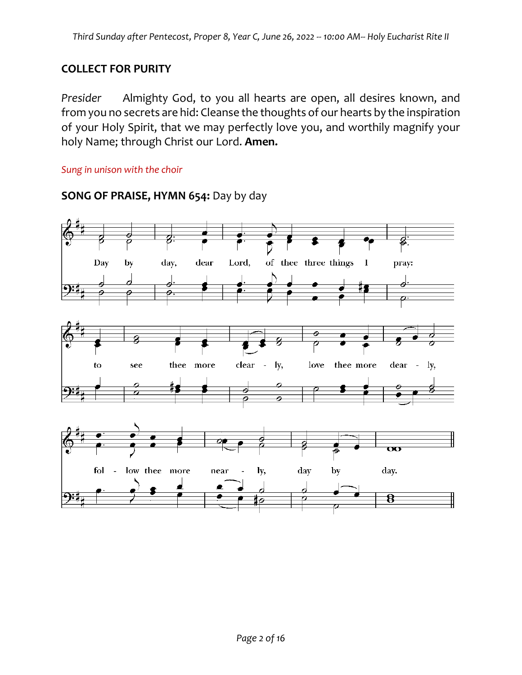# **COLLECT FOR PURITY**

*Presider* Almighty God, to you all hearts are open, all desires known, and from you no secrets are hid: Cleanse the thoughts of our hearts by the inspiration of your Holy Spirit, that we may perfectly love you, and worthily magnify your holy Name; through Christ our Lord. **Amen.**

#### *Sung in unison with the choir*

# **SONG OF PRAISE, HYMN 654:** Day by day

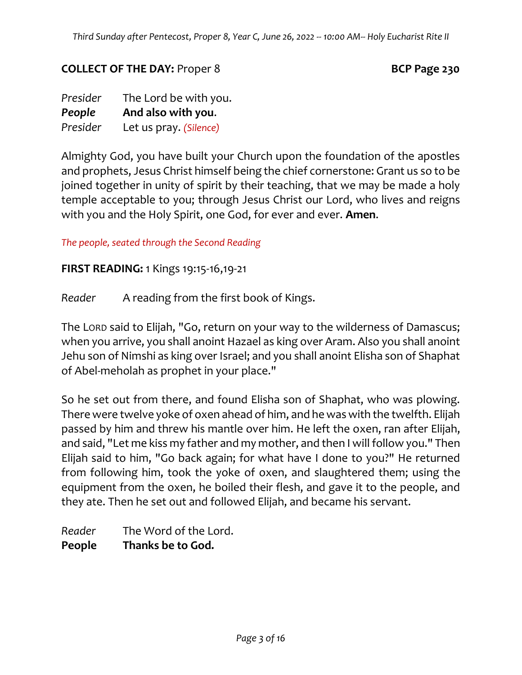# **COLLECT OF THE DAY:** Proper 8 **BCP Page 230**

*Presider* The Lord be with you. *People* **And also with you**. *Presider* Let us pray. *(Silence)*

Almighty God, you have built your Church upon the foundation of the apostles and prophets, Jesus Christ himself being the chief cornerstone: Grant us so to be joined together in unity of spirit by their teaching, that we may be made a holy temple acceptable to you; through Jesus Christ our Lord, who lives and reigns with you and the Holy Spirit, one God, for ever and ever. **Amen**.

#### *The people, seated through the Second Reading*

#### **FIRST READING:** 1 Kings 19:15-16,19-21

*Reader* A reading from the first book of Kings.

The LORD said to Elijah, "Go, return on your way to the wilderness of Damascus; when you arrive, you shall anoint Hazael as king over Aram. Also you shall anoint Jehu son of Nimshi as king over Israel; and you shall anoint Elisha son of Shaphat of Abel-meholah as prophet in your place."

So he set out from there, and found Elisha son of Shaphat, who was plowing. There were twelve yoke of oxen ahead of him, and he was with the twelfth. Elijah passed by him and threw his mantle over him. He left the oxen, ran after Elijah, and said, "Let me kiss my father and my mother, and then I will follow you." Then Elijah said to him, "Go back again; for what have I done to you?" He returned from following him, took the yoke of oxen, and slaughtered them; using the equipment from the oxen, he boiled their flesh, and gave it to the people, and they ate. Then he set out and followed Elijah, and became his servant.

*Reader* The Word of the Lord. **People Thanks be to God.**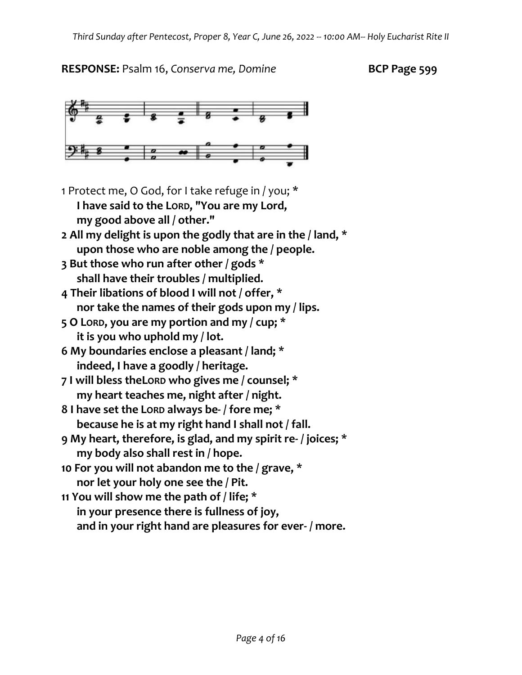# **RESPONSE:** Psalm 16, *Conserva me, Domine* **BCP Page 599**



- 1 Protect me, O God, for I take refuge in / you; \* **I have said to the LORD, "You are my Lord, my good above all / other." 2 All my delight is upon the godly that are in the / land, \* upon those who are noble among the / people. 3 But those who run after other / gods \* shall have their troubles / multiplied. 4 Their libations of blood I will not / offer, \* nor take the names of their gods upon my / lips. 5 O LORD, you are my portion and my / cup; \* it is you who uphold my / lot. 6 My boundaries enclose a pleasant / land; \* indeed, I have a goodly / heritage. 7 I will bless theLORD who gives me / counsel; \* my heart teaches me, night after / night. 8 I have set the LORD always be- / fore me; \* because he is at my right hand I shall not / fall. 9 My heart, therefore, is glad, and my spirit re- / joices; \* my body also shall rest in / hope. 10 For you will not abandon me to the / grave, \* nor let your holy one see the / Pit. 11 You will show me the path of / life; \***
	- **in your presence there is fullness of joy,**
		- **and in your right hand are pleasures for ever- / more.**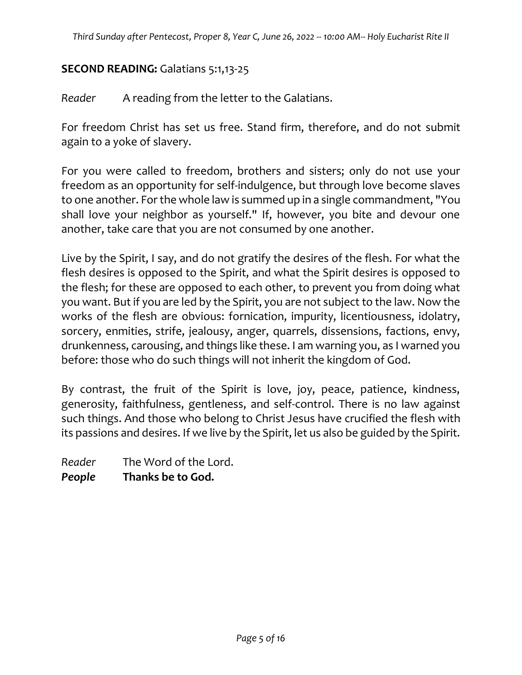# **SECOND READING:** Galatians 5:1,13-25

*Reader* A reading from the letter to the Galatians.

For freedom Christ has set us free. Stand firm, therefore, and do not submit again to a yoke of slavery.

For you were called to freedom, brothers and sisters; only do not use your freedom as an opportunity for self-indulgence, but through love become slaves to one another. For the whole law is summed up in a single commandment, "You shall love your neighbor as yourself." If, however, you bite and devour one another, take care that you are not consumed by one another.

Live by the Spirit, I say, and do not gratify the desires of the flesh. For what the flesh desires is opposed to the Spirit, and what the Spirit desires is opposed to the flesh; for these are opposed to each other, to prevent you from doing what you want. But if you are led by the Spirit, you are not subject to the law. Now the works of the flesh are obvious: fornication, impurity, licentiousness, idolatry, sorcery, enmities, strife, jealousy, anger, quarrels, dissensions, factions, envy, drunkenness, carousing, and things like these. I am warning you, as I warned you before: those who do such things will not inherit the kingdom of God.

By contrast, the fruit of the Spirit is love, joy, peace, patience, kindness, generosity, faithfulness, gentleness, and self-control. There is no law against such things. And those who belong to Christ Jesus have crucified the flesh with its passions and desires. If we live by the Spirit, let us also be guided by the Spirit.

*Reader* The Word of the Lord. *People* **Thanks be to God.**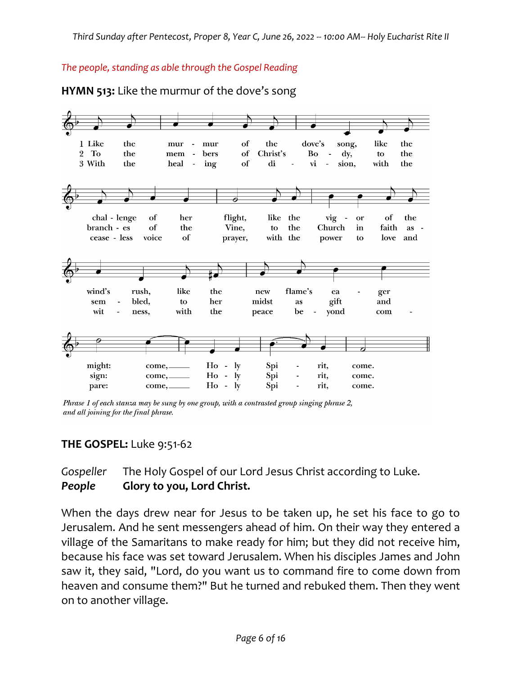*The people, standing as able through the Gospel Reading*





Phrase 1 of each stanza may be sung by one group, with a contrasted group singing phrase 2, and all joining for the final phrase.

# **THE GOSPEL:** Luke 9:51-62

# *Gospeller* The Holy Gospel of our Lord Jesus Christ according to Luke. *People* **Glory to you, Lord Christ.**

When the days drew near for Jesus to be taken up, he set his face to go to Jerusalem. And he sent messengers ahead of him. On their way they entered a village of the Samaritans to make ready for him; but they did not receive him, because his face was set toward Jerusalem. When his disciples James and John saw it, they said, "Lord, do you want us to command fire to come down from heaven and consume them?" But he turned and rebuked them. Then they went on to another village.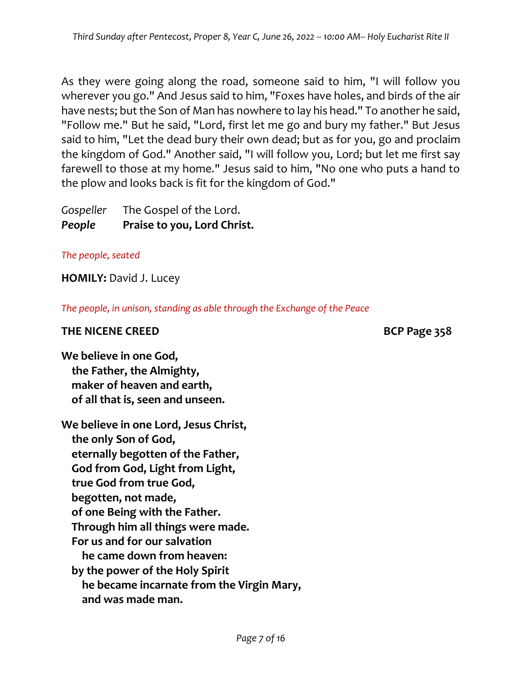As they were going along the road, someone said to him, "I will follow you wherever you go." And Jesus said to him, "Foxes have holes, and birds of the air have nests; but the Son of Man has nowhere to lay his head." To another he said, "Follow me." But he said, "Lord, first let me go and bury my father." But Jesus said to him, "Let the dead bury their own dead; but as for you, go and proclaim the kingdom of God." Another said, "I will follow you, Lord; but let me first say farewell to those at my home." Jesus said to him, "No one who puts a hand to the plow and looks back is fit for the kingdom of God."

*Gospeller* The Gospel of the Lord. *People* **Praise to you, Lord Christ.**

*The people, seated*

**HOMILY: David J. Lucey** 

*The people, in unison, standing as able through the Exchange of the Peace*

### **THE NICENE CREED BCP Page 358**

**We believe in one God, the Father, the Almighty, maker of heaven and earth, of all that is, seen and unseen.**

**We believe in one Lord, Jesus Christ, the only Son of God, eternally begotten of the Father, God from God, Light from Light, true God from true God, begotten, not made, of one Being with the Father. Through him all things were made. For us and for our salvation he came down from heaven: by the power of the Holy Spirit he became incarnate from the Virgin Mary, and was made man.**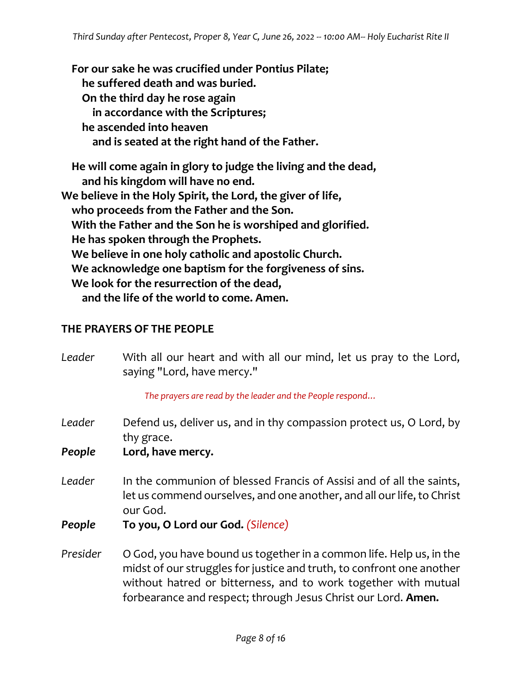**For our sake he was crucified under Pontius Pilate; he suffered death and was buried. On the third day he rose again in accordance with the Scriptures; he ascended into heaven and is seated at the right hand of the Father. He will come again in glory to judge the living and the dead, and his kingdom will have no end. We believe in the Holy Spirit, the Lord, the giver of life, who proceeds from the Father and the Son. With the Father and the Son he is worshiped and glorified. He has spoken through the Prophets. We believe in one holy catholic and apostolic Church. We acknowledge one baptism for the forgiveness of sins. We look for the resurrection of the dead, and the life of the world to come. Amen.**

# **THE PRAYERS OF THE PEOPLE**

| Leader   | With all our heart and with all our mind, let us pray to the Lord,<br>saying "Lord, have mercy."                                                                                                                                                                                |
|----------|---------------------------------------------------------------------------------------------------------------------------------------------------------------------------------------------------------------------------------------------------------------------------------|
|          | The prayers are read by the leader and the People respond                                                                                                                                                                                                                       |
| Leader   | Defend us, deliver us, and in thy compassion protect us, O Lord, by<br>thy grace.                                                                                                                                                                                               |
| People   | Lord, have mercy.                                                                                                                                                                                                                                                               |
| Leader   | In the communion of blessed Francis of Assisi and of all the saints,<br>let us commend ourselves, and one another, and all our life, to Christ<br>our God.                                                                                                                      |
| People   | To you, O Lord our God. (Silence)                                                                                                                                                                                                                                               |
| Presider | O God, you have bound us together in a common life. Help us, in the<br>midst of our struggles for justice and truth, to confront one another<br>without hatred or bitterness, and to work together with mutual<br>forbearance and respect; through Jesus Christ our Lord. Amen. |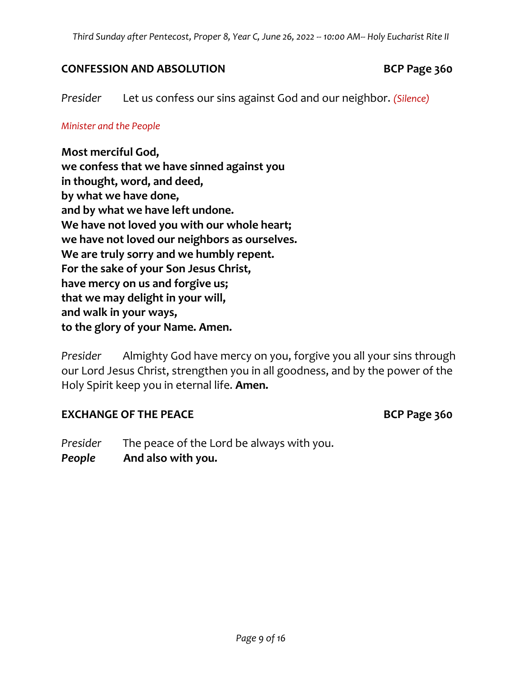### **CONFESSION AND ABSOLUTION BCP Page 360**

*Presider* Let us confess our sins against God and our neighbor. *(Silence)*

#### *Minister and the People*

**Most merciful God, we confess that we have sinned against you in thought, word, and deed, by what we have done, and by what we have left undone. We have not loved you with our whole heart; we have not loved our neighbors as ourselves. We are truly sorry and we humbly repent. For the sake of your Son Jesus Christ, have mercy on us and forgive us; that we may delight in your will, and walk in your ways, to the glory of your Name. Amen.**

*Presider* Almighty God have mercy on you, forgive you all your sins through our Lord Jesus Christ, strengthen you in all goodness, and by the power of the Holy Spirit keep you in eternal life. **Amen.**

### **EXCHANGE OF THE PEACE BCP Page 360**

*Presider* The peace of the Lord be always with you. *People* **And also with you.**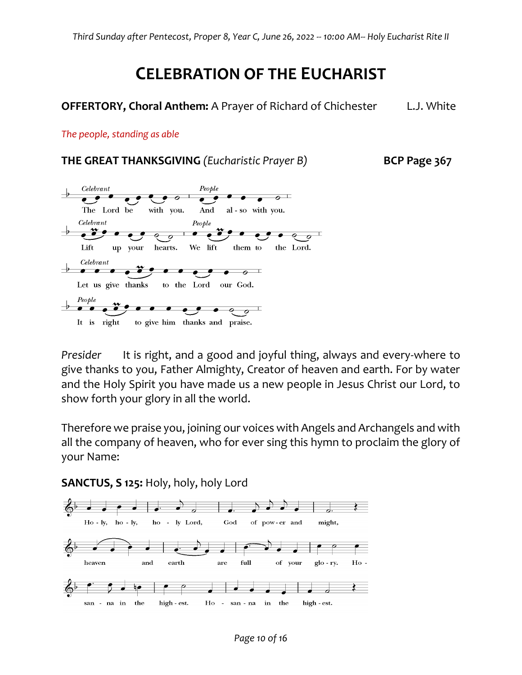# **CELEBRATION OF THE EUCHARIST**

**OFFERTORY, Choral Anthem:** A Prayer of Richard of Chichester L.J. White

*The people, standing as able*

# **THE GREAT THANKSGIVING** *(Eucharistic Prayer B)* **BCP Page 367**



*Presider* It is right, and a good and joyful thing, always and every-where to give thanks to you, Father Almighty, Creator of heaven and earth. For by water and the Holy Spirit you have made us a new people in Jesus Christ our Lord, to show forth your glory in all the world.

Therefore we praise you, joining our voices with Angels and Archangels and with all the company of heaven, who for ever sing this hymn to proclaim the glory of your Name:

**SANCTUS, S 125:** Holy, holy, holy Lord

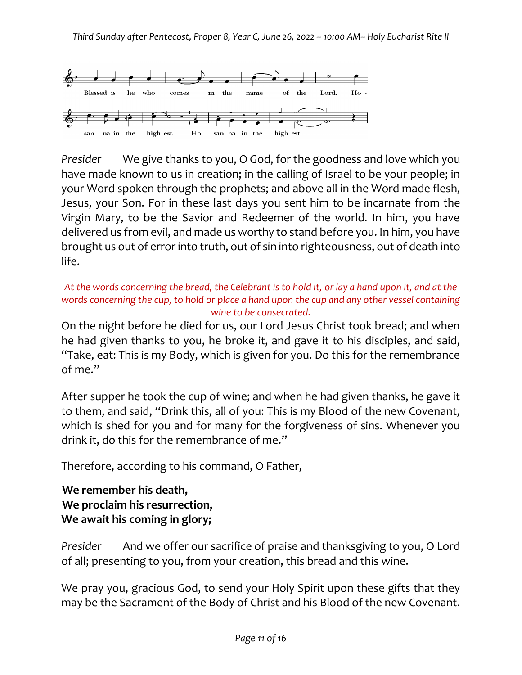

*Presider* We give thanks to you, O God, for the goodness and love which you have made known to us in creation; in the calling of Israel to be your people; in your Word spoken through the prophets; and above all in the Word made flesh, Jesus, your Son. For in these last days you sent him to be incarnate from the Virgin Mary, to be the Savior and Redeemer of the world. In him, you have delivered us from evil, and made us worthy to stand before you. In him, you have brought us out of error into truth, out of sin into righteousness, out of death into life.

### *At the words concerning the bread, the Celebrant is to hold it, or lay a hand upon it, and at the words concerning the cup, to hold or place a hand upon the cup and any other vessel containing wine to be consecrated.*

On the night before he died for us, our Lord Jesus Christ took bread; and when he had given thanks to you, he broke it, and gave it to his disciples, and said, "Take, eat: This is my Body, which is given for you. Do this for the remembrance of me."

After supper he took the cup of wine; and when he had given thanks, he gave it to them, and said, "Drink this, all of you: This is my Blood of the new Covenant, which is shed for you and for many for the forgiveness of sins. Whenever you drink it, do this for the remembrance of me."

Therefore, according to his command, O Father,

**We remember his death, We proclaim his resurrection, We await his coming in glory;**

*Presider* And we offer our sacrifice of praise and thanksgiving to you, O Lord of all; presenting to you, from your creation, this bread and this wine.

We pray you, gracious God, to send your Holy Spirit upon these gifts that they may be the Sacrament of the Body of Christ and his Blood of the new Covenant.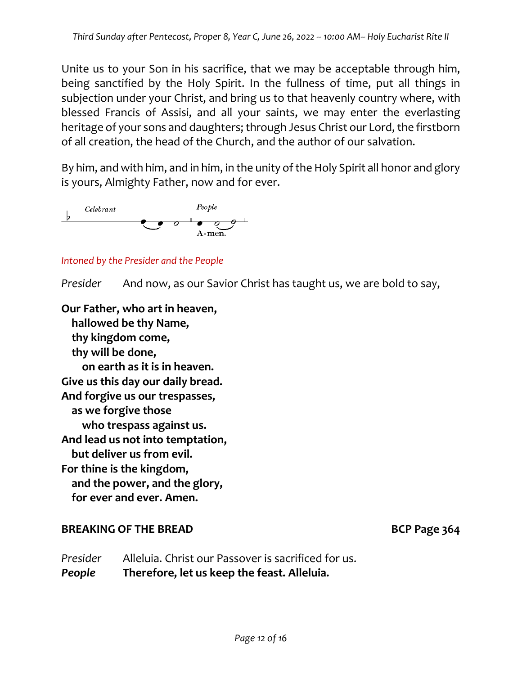Unite us to your Son in his sacrifice, that we may be acceptable through him, being sanctified by the Holy Spirit. In the fullness of time, put all things in subjection under your Christ, and bring us to that heavenly country where, with blessed Francis of Assisi, and all your saints, we may enter the everlasting heritage of your sons and daughters; through Jesus Christ our Lord, the firstborn of all creation, the head of the Church, and the author of our salvation.

By him, and with him, and in him, in the unity of the Holy Spirit all honor and glory is yours, Almighty Father, now and for ever.



*Intoned by the Presider and the People*

*Presider* And now, as our Savior Christ has taught us, we are bold to say,

**Our Father, who art in heaven, hallowed be thy Name, thy kingdom come, thy will be done, on earth as it is in heaven. Give us this day our daily bread. And forgive us our trespasses, as we forgive those who trespass against us. And lead us not into temptation, but deliver us from evil. For thine is the kingdom, and the power, and the glory, for ever and ever. Amen.**

# **BREAKING OF THE BREAD BCP Page 364**

| Presider | Alleluia. Christ our Passover is sacrificed for us. |
|----------|-----------------------------------------------------|
| People   | Therefore, let us keep the feast. Alleluia.         |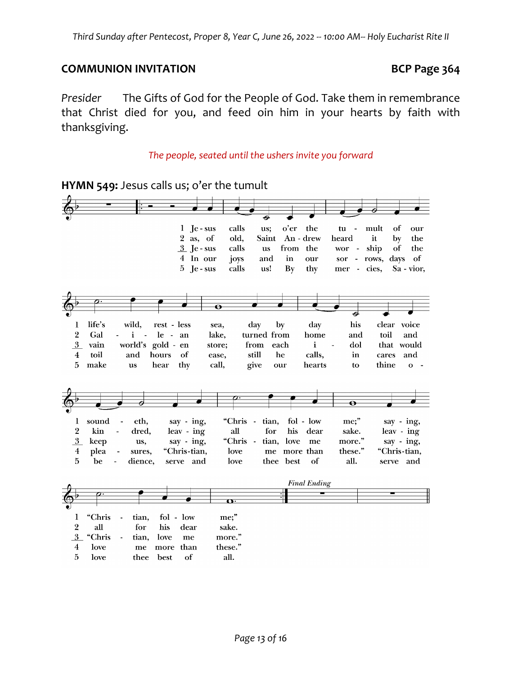### **COMMUNION INVITATION BCP Page 364**

*Presider* The Gifts of God for the People of God. Take them in remembrance that Christ died for you, and feed oin him in your hearts by faith with thanksgiving.

#### *The people, seated until the ushers invite you forward*

Ð  $1 \text{ Je - sus}$ calls us; o'er the tu mult of our  $2$  as, of old, Saint An - drew heard it by the  $3$  Je - sus calls the  $\overline{\mathbf{u}}$ s from wor ship of the 4 In our joys and in our rows, days of sor - $5$  Je - sus calls us! By thy mer - cies, Sa - vior, Θ ब्र life's  $\bf{l}$ wild, rest - less day his clear voice sea, by day  $\overline{2}$ Gal  $\sim$  $i$ le - an lake, turned from home and toil and  $3$ world's gold - en from each  $\mathbf{i}$ dol that would vain store;  $\overline{\mathbf{4}}$ toil and hours of ease, still he calls, in cares and  $\mathbf{5}$ make  $\overline{\mathbf{u}}$ s hear thy call, give our hearts thine  $0$ to  $\overline{\mathbf{o}}$ sound eth, say - ing, "Chris tian, fol - low me;"  $\mathbf{1}$  $\frac{1}{2}$ say - ing,  $\overline{2}$ kin dred, leav - ing all for his dear sake. leav - ing  $\frac{3}{2}$ keep say - ing, "Chris tian, love more." say - ing, us,  ${\bf m}{\bf e}$  $\overline{4}$ "Chris-tian, love these." "Chris-tian, plea sures, me more than  $\overline{5}$ be dience, serve and love thee best of all. serve and **Final Ending**  $\overline{\mathbf{o}}$ me:"  $\bf{l}$ "Chris ÷, tian. fol - low  $\overline{2}$ all for his dear sake.  $\frac{3}{2}$ "Chris more." tian.  $\sim$ love me  $\overline{4}$ love me more than these."  $\bf 5$ all. love best thee of

**HYMN 549:** Jesus calls us; o'er the tumult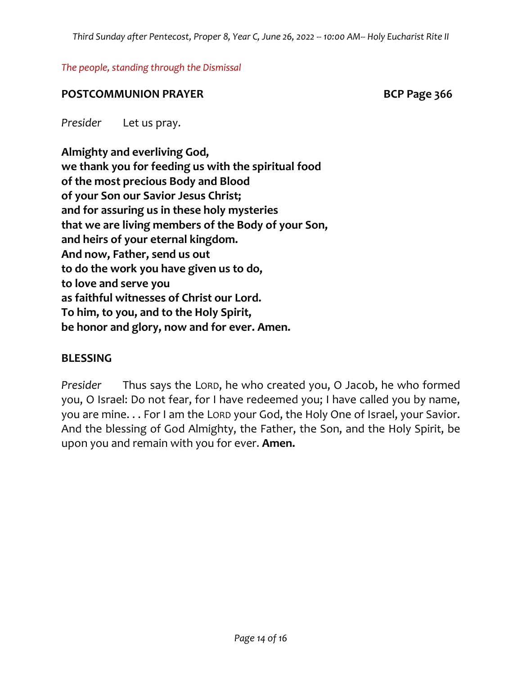#### *The people, standing through the Dismissal*

#### **POSTCOMMUNION PRAYER BCP Page 366**

*Presider* Let us pray.

**Almighty and everliving God, we thank you for feeding us with the spiritual food of the most precious Body and Blood of your Son our Savior Jesus Christ; and for assuring us in these holy mysteries that we are living members of the Body of your Son, and heirs of your eternal kingdom. And now, Father, send us out to do the work you have given us to do, to love and serve you as faithful witnesses of Christ our Lord. To him, to you, and to the Holy Spirit, be honor and glory, now and for ever. Amen.**

### **BLESSING**

*Presider* Thus says the LORD, he who created you, O Jacob, he who formed you, O Israel: Do not fear, for I have redeemed you; I have called you by name, you are mine. . . For I am the LORD your God, the Holy One of Israel, your Savior. And the blessing of God Almighty, the Father, the Son, and the Holy Spirit, be upon you and remain with you for ever. **Amen.**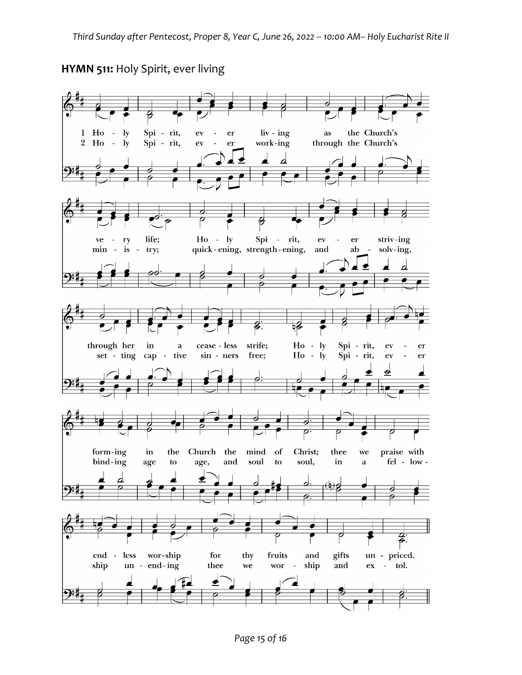

#### **HYMN 511:** Holy Spirit, ever living